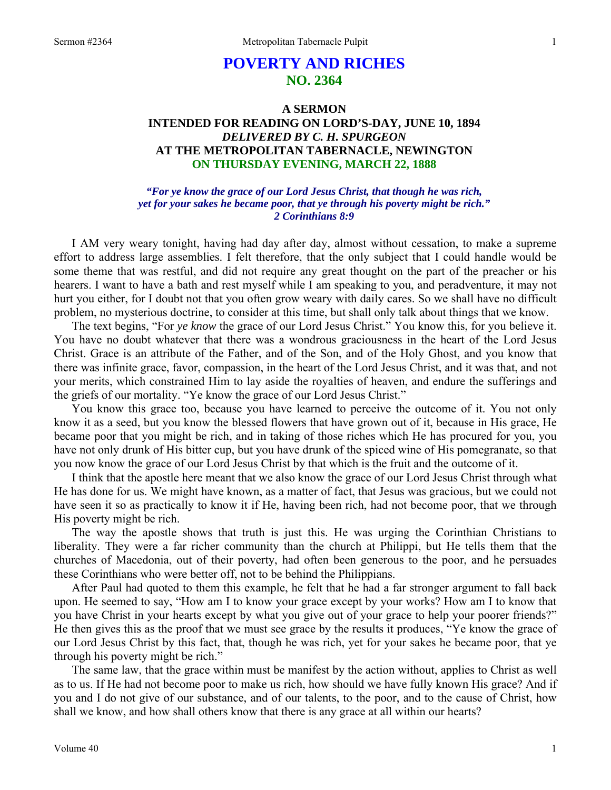# **POVERTY AND RICHES NO. 2364**

## **A SERMON INTENDED FOR READING ON LORD'S-DAY, JUNE 10, 1894**  *DELIVERED BY C. H. SPURGEON*  **AT THE METROPOLITAN TABERNACLE, NEWINGTON ON THURSDAY EVENING, MARCH 22, 1888**

*"For ye know the grace of our Lord Jesus Christ, that though he was rich, yet for your sakes he became poor, that ye through his poverty might be rich." 2 Corinthians 8:9* 

I AM very weary tonight, having had day after day, almost without cessation, to make a supreme effort to address large assemblies. I felt therefore, that the only subject that I could handle would be some theme that was restful, and did not require any great thought on the part of the preacher or his hearers. I want to have a bath and rest myself while I am speaking to you, and peradventure, it may not hurt you either, for I doubt not that you often grow weary with daily cares. So we shall have no difficult problem, no mysterious doctrine, to consider at this time, but shall only talk about things that we know.

The text begins, "For *ye know* the grace of our Lord Jesus Christ." You know this, for you believe it. You have no doubt whatever that there was a wondrous graciousness in the heart of the Lord Jesus Christ. Grace is an attribute of the Father, and of the Son, and of the Holy Ghost, and you know that there was infinite grace, favor, compassion, in the heart of the Lord Jesus Christ, and it was that, and not your merits, which constrained Him to lay aside the royalties of heaven, and endure the sufferings and the griefs of our mortality. "Ye know the grace of our Lord Jesus Christ."

You know this grace too, because you have learned to perceive the outcome of it. You not only know it as a seed, but you know the blessed flowers that have grown out of it, because in His grace, He became poor that you might be rich, and in taking of those riches which He has procured for you, you have not only drunk of His bitter cup, but you have drunk of the spiced wine of His pomegranate, so that you now know the grace of our Lord Jesus Christ by that which is the fruit and the outcome of it.

I think that the apostle here meant that we also know the grace of our Lord Jesus Christ through what He has done for us. We might have known, as a matter of fact, that Jesus was gracious, but we could not have seen it so as practically to know it if He, having been rich, had not become poor, that we through His poverty might be rich.

The way the apostle shows that truth is just this. He was urging the Corinthian Christians to liberality. They were a far richer community than the church at Philippi, but He tells them that the churches of Macedonia, out of their poverty, had often been generous to the poor, and he persuades these Corinthians who were better off, not to be behind the Philippians.

After Paul had quoted to them this example, he felt that he had a far stronger argument to fall back upon. He seemed to say, "How am I to know your grace except by your works? How am I to know that you have Christ in your hearts except by what you give out of your grace to help your poorer friends?" He then gives this as the proof that we must see grace by the results it produces, "Ye know the grace of our Lord Jesus Christ by this fact, that, though he was rich, yet for your sakes he became poor, that ye through his poverty might be rich."

The same law, that the grace within must be manifest by the action without, applies to Christ as well as to us. If He had not become poor to make us rich, how should we have fully known His grace? And if you and I do not give of our substance, and of our talents, to the poor, and to the cause of Christ, how shall we know, and how shall others know that there is any grace at all within our hearts?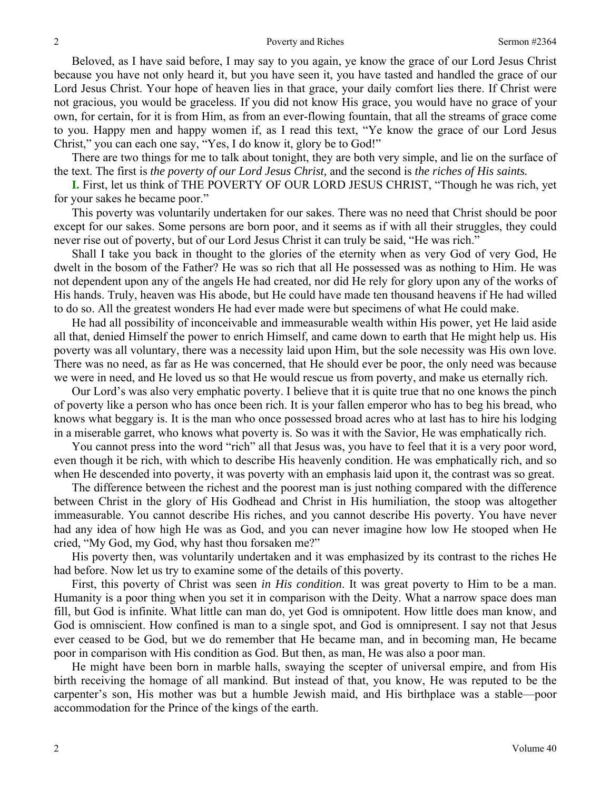Beloved, as I have said before, I may say to you again, ye know the grace of our Lord Jesus Christ because you have not only heard it, but you have seen it, you have tasted and handled the grace of our Lord Jesus Christ. Your hope of heaven lies in that grace, your daily comfort lies there. If Christ were not gracious, you would be graceless. If you did not know His grace, you would have no grace of your own, for certain, for it is from Him, as from an ever-flowing fountain, that all the streams of grace come to you. Happy men and happy women if, as I read this text, "Ye know the grace of our Lord Jesus Christ," you can each one say, "Yes, I do know it, glory be to God!"

There are two things for me to talk about tonight, they are both very simple, and lie on the surface of the text. The first is *the poverty of our Lord Jesus Christ,* and the second is *the riches of His saints.* 

**I.** First, let us think of THE POVERTY OF OUR LORD JESUS CHRIST, "Though he was rich, yet for your sakes he became poor."

This poverty was voluntarily undertaken for our sakes. There was no need that Christ should be poor except for our sakes. Some persons are born poor, and it seems as if with all their struggles, they could never rise out of poverty, but of our Lord Jesus Christ it can truly be said, "He was rich."

Shall I take you back in thought to the glories of the eternity when as very God of very God, He dwelt in the bosom of the Father? He was so rich that all He possessed was as nothing to Him. He was not dependent upon any of the angels He had created, nor did He rely for glory upon any of the works of His hands. Truly, heaven was His abode, but He could have made ten thousand heavens if He had willed to do so. All the greatest wonders He had ever made were but specimens of what He could make.

He had all possibility of inconceivable and immeasurable wealth within His power, yet He laid aside all that, denied Himself the power to enrich Himself, and came down to earth that He might help us. His poverty was all voluntary, there was a necessity laid upon Him, but the sole necessity was His own love. There was no need, as far as He was concerned, that He should ever be poor, the only need was because we were in need, and He loved us so that He would rescue us from poverty, and make us eternally rich.

Our Lord's was also very emphatic poverty. I believe that it is quite true that no one knows the pinch of poverty like a person who has once been rich. It is your fallen emperor who has to beg his bread, who knows what beggary is. It is the man who once possessed broad acres who at last has to hire his lodging in a miserable garret, who knows what poverty is. So was it with the Savior, He was emphatically rich.

You cannot press into the word "rich" all that Jesus was, you have to feel that it is a very poor word, even though it be rich, with which to describe His heavenly condition. He was emphatically rich, and so when He descended into poverty, it was poverty with an emphasis laid upon it, the contrast was so great.

The difference between the richest and the poorest man is just nothing compared with the difference between Christ in the glory of His Godhead and Christ in His humiliation, the stoop was altogether immeasurable. You cannot describe His riches, and you cannot describe His poverty. You have never had any idea of how high He was as God, and you can never imagine how low He stooped when He cried, "My God, my God, why hast thou forsaken me?"

His poverty then, was voluntarily undertaken and it was emphasized by its contrast to the riches He had before. Now let us try to examine some of the details of this poverty.

First, this poverty of Christ was seen *in His condition*. It was great poverty to Him to be a man. Humanity is a poor thing when you set it in comparison with the Deity. What a narrow space does man fill, but God is infinite. What little can man do, yet God is omnipotent. How little does man know, and God is omniscient. How confined is man to a single spot, and God is omnipresent. I say not that Jesus ever ceased to be God, but we do remember that He became man, and in becoming man, He became poor in comparison with His condition as God. But then, as man, He was also a poor man.

He might have been born in marble halls, swaying the scepter of universal empire, and from His birth receiving the homage of all mankind. But instead of that, you know, He was reputed to be the carpenter's son, His mother was but a humble Jewish maid, and His birthplace was a stable—poor accommodation for the Prince of the kings of the earth.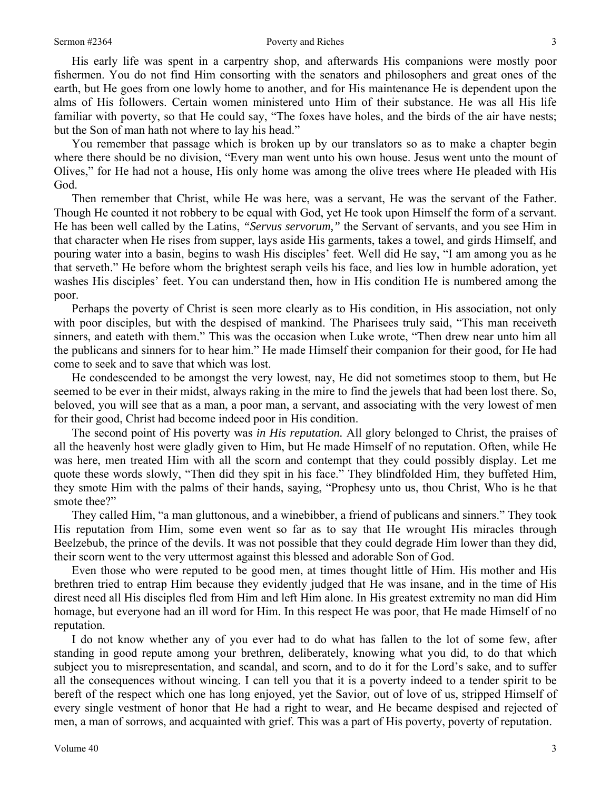His early life was spent in a carpentry shop, and afterwards His companions were mostly poor fishermen. You do not find Him consorting with the senators and philosophers and great ones of the earth, but He goes from one lowly home to another, and for His maintenance He is dependent upon the alms of His followers. Certain women ministered unto Him of their substance. He was all His life familiar with poverty, so that He could say, "The foxes have holes, and the birds of the air have nests; but the Son of man hath not where to lay his head."

You remember that passage which is broken up by our translators so as to make a chapter begin where there should be no division, "Every man went unto his own house. Jesus went unto the mount of Olives," for He had not a house, His only home was among the olive trees where He pleaded with His God.

Then remember that Christ, while He was here, was a servant, He was the servant of the Father. Though He counted it not robbery to be equal with God, yet He took upon Himself the form of a servant. He has been well called by the Latins, *"Servus servorum,"* the Servant of servants, and you see Him in that character when He rises from supper, lays aside His garments, takes a towel, and girds Himself, and pouring water into a basin, begins to wash His disciples' feet. Well did He say, "I am among you as he that serveth." He before whom the brightest seraph veils his face, and lies low in humble adoration, yet washes His disciples' feet. You can understand then, how in His condition He is numbered among the poor.

Perhaps the poverty of Christ is seen more clearly as to His condition, in His association, not only with poor disciples, but with the despised of mankind. The Pharisees truly said, "This man receiveth sinners, and eateth with them." This was the occasion when Luke wrote, "Then drew near unto him all the publicans and sinners for to hear him." He made Himself their companion for their good, for He had come to seek and to save that which was lost.

He condescended to be amongst the very lowest, nay, He did not sometimes stoop to them, but He seemed to be ever in their midst, always raking in the mire to find the jewels that had been lost there. So, beloved, you will see that as a man, a poor man, a servant, and associating with the very lowest of men for their good, Christ had become indeed poor in His condition.

The second point of His poverty was *in His reputation.* All glory belonged to Christ, the praises of all the heavenly host were gladly given to Him, but He made Himself of no reputation. Often, while He was here, men treated Him with all the scorn and contempt that they could possibly display. Let me quote these words slowly, "Then did they spit in his face." They blindfolded Him, they buffeted Him, they smote Him with the palms of their hands, saying, "Prophesy unto us, thou Christ, Who is he that smote thee?"

They called Him, "a man gluttonous, and a winebibber, a friend of publicans and sinners." They took His reputation from Him, some even went so far as to say that He wrought His miracles through Beelzebub, the prince of the devils. It was not possible that they could degrade Him lower than they did, their scorn went to the very uttermost against this blessed and adorable Son of God.

Even those who were reputed to be good men, at times thought little of Him. His mother and His brethren tried to entrap Him because they evidently judged that He was insane, and in the time of His direst need all His disciples fled from Him and left Him alone. In His greatest extremity no man did Him homage, but everyone had an ill word for Him. In this respect He was poor, that He made Himself of no reputation.

I do not know whether any of you ever had to do what has fallen to the lot of some few, after standing in good repute among your brethren, deliberately, knowing what you did, to do that which subject you to misrepresentation, and scandal, and scorn, and to do it for the Lord's sake, and to suffer all the consequences without wincing. I can tell you that it is a poverty indeed to a tender spirit to be bereft of the respect which one has long enjoyed, yet the Savior, out of love of us, stripped Himself of every single vestment of honor that He had a right to wear, and He became despised and rejected of men, a man of sorrows, and acquainted with grief. This was a part of His poverty, poverty of reputation.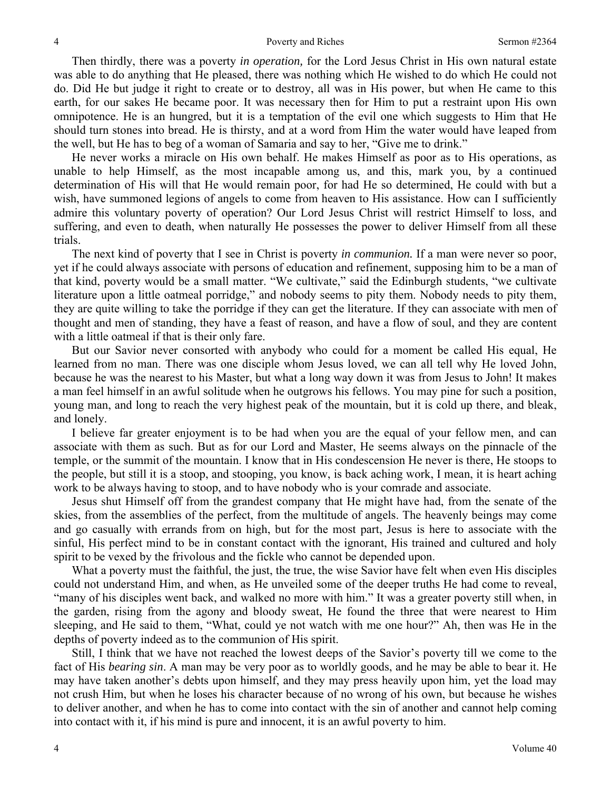Then thirdly, there was a poverty *in operation,* for the Lord Jesus Christ in His own natural estate was able to do anything that He pleased, there was nothing which He wished to do which He could not do. Did He but judge it right to create or to destroy, all was in His power, but when He came to this earth, for our sakes He became poor. It was necessary then for Him to put a restraint upon His own omnipotence. He is an hungred, but it is a temptation of the evil one which suggests to Him that He should turn stones into bread. He is thirsty, and at a word from Him the water would have leaped from the well, but He has to beg of a woman of Samaria and say to her, "Give me to drink."

He never works a miracle on His own behalf. He makes Himself as poor as to His operations, as unable to help Himself, as the most incapable among us, and this, mark you, by a continued determination of His will that He would remain poor, for had He so determined, He could with but a wish, have summoned legions of angels to come from heaven to His assistance. How can I sufficiently admire this voluntary poverty of operation? Our Lord Jesus Christ will restrict Himself to loss, and suffering, and even to death, when naturally He possesses the power to deliver Himself from all these trials.

The next kind of poverty that I see in Christ is poverty *in communion.* If a man were never so poor, yet if he could always associate with persons of education and refinement, supposing him to be a man of that kind, poverty would be a small matter. "We cultivate," said the Edinburgh students, "we cultivate literature upon a little oatmeal porridge," and nobody seems to pity them. Nobody needs to pity them, they are quite willing to take the porridge if they can get the literature. If they can associate with men of thought and men of standing, they have a feast of reason, and have a flow of soul, and they are content with a little oatmeal if that is their only fare.

But our Savior never consorted with anybody who could for a moment be called His equal, He learned from no man. There was one disciple whom Jesus loved, we can all tell why He loved John, because he was the nearest to his Master, but what a long way down it was from Jesus to John! It makes a man feel himself in an awful solitude when he outgrows his fellows. You may pine for such a position, young man, and long to reach the very highest peak of the mountain, but it is cold up there, and bleak, and lonely.

I believe far greater enjoyment is to be had when you are the equal of your fellow men, and can associate with them as such. But as for our Lord and Master, He seems always on the pinnacle of the temple, or the summit of the mountain. I know that in His condescension He never is there, He stoops to the people, but still it is a stoop, and stooping, you know, is back aching work, I mean, it is heart aching work to be always having to stoop, and to have nobody who is your comrade and associate.

Jesus shut Himself off from the grandest company that He might have had, from the senate of the skies, from the assemblies of the perfect, from the multitude of angels. The heavenly beings may come and go casually with errands from on high, but for the most part, Jesus is here to associate with the sinful, His perfect mind to be in constant contact with the ignorant, His trained and cultured and holy spirit to be vexed by the frivolous and the fickle who cannot be depended upon.

What a poverty must the faithful, the just, the true, the wise Savior have felt when even His disciples could not understand Him, and when, as He unveiled some of the deeper truths He had come to reveal, "many of his disciples went back, and walked no more with him." It was a greater poverty still when, in the garden, rising from the agony and bloody sweat, He found the three that were nearest to Him sleeping, and He said to them, "What, could ye not watch with me one hour?" Ah, then was He in the depths of poverty indeed as to the communion of His spirit.

Still, I think that we have not reached the lowest deeps of the Savior's poverty till we come to the fact of His *bearing sin*. A man may be very poor as to worldly goods, and he may be able to bear it. He may have taken another's debts upon himself, and they may press heavily upon him, yet the load may not crush Him, but when he loses his character because of no wrong of his own, but because he wishes to deliver another, and when he has to come into contact with the sin of another and cannot help coming into contact with it, if his mind is pure and innocent, it is an awful poverty to him.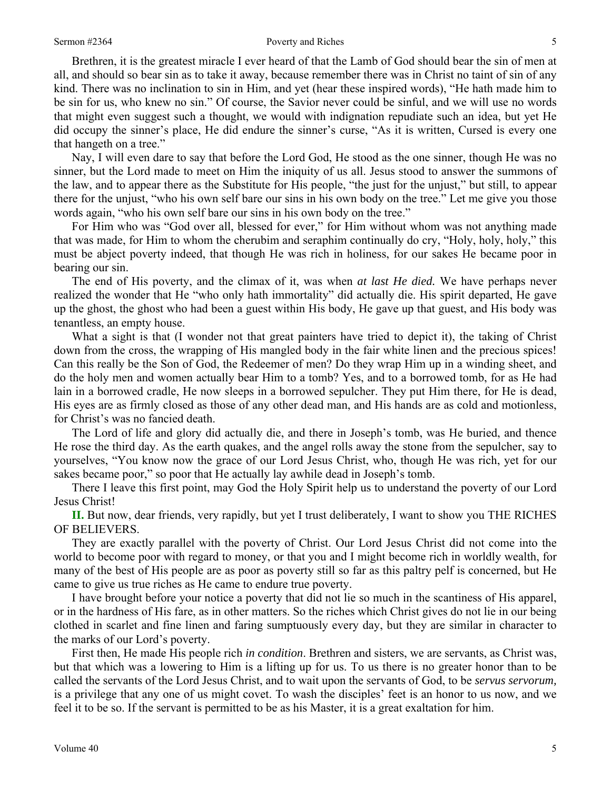#### Sermon #2364 **Poverty and Riches** 5

Brethren, it is the greatest miracle I ever heard of that the Lamb of God should bear the sin of men at all, and should so bear sin as to take it away, because remember there was in Christ no taint of sin of any kind. There was no inclination to sin in Him, and yet (hear these inspired words), "He hath made him to be sin for us, who knew no sin." Of course, the Savior never could be sinful, and we will use no words that might even suggest such a thought, we would with indignation repudiate such an idea, but yet He did occupy the sinner's place, He did endure the sinner's curse, "As it is written, Cursed is every one that hangeth on a tree."

Nay, I will even dare to say that before the Lord God, He stood as the one sinner, though He was no sinner, but the Lord made to meet on Him the iniquity of us all. Jesus stood to answer the summons of the law, and to appear there as the Substitute for His people, "the just for the unjust," but still, to appear there for the unjust, "who his own self bare our sins in his own body on the tree." Let me give you those words again, "who his own self bare our sins in his own body on the tree."

For Him who was "God over all, blessed for ever," for Him without whom was not anything made that was made, for Him to whom the cherubim and seraphim continually do cry, "Holy, holy, holy," this must be abject poverty indeed, that though He was rich in holiness, for our sakes He became poor in bearing our sin.

The end of His poverty, and the climax of it, was when *at last He died.* We have perhaps never realized the wonder that He "who only hath immortality" did actually die. His spirit departed, He gave up the ghost, the ghost who had been a guest within His body, He gave up that guest, and His body was tenantless, an empty house.

What a sight is that (I wonder not that great painters have tried to depict it), the taking of Christ down from the cross, the wrapping of His mangled body in the fair white linen and the precious spices! Can this really be the Son of God, the Redeemer of men? Do they wrap Him up in a winding sheet, and do the holy men and women actually bear Him to a tomb? Yes, and to a borrowed tomb, for as He had lain in a borrowed cradle, He now sleeps in a borrowed sepulcher. They put Him there, for He is dead, His eyes are as firmly closed as those of any other dead man, and His hands are as cold and motionless, for Christ's was no fancied death.

The Lord of life and glory did actually die, and there in Joseph's tomb, was He buried, and thence He rose the third day. As the earth quakes, and the angel rolls away the stone from the sepulcher, say to yourselves, "You know now the grace of our Lord Jesus Christ, who, though He was rich, yet for our sakes became poor," so poor that He actually lay awhile dead in Joseph's tomb.

There I leave this first point, may God the Holy Spirit help us to understand the poverty of our Lord Jesus Christ!

**II.** But now, dear friends, very rapidly, but yet I trust deliberately, I want to show you THE RICHES OF BELIEVERS.

They are exactly parallel with the poverty of Christ. Our Lord Jesus Christ did not come into the world to become poor with regard to money, or that you and I might become rich in worldly wealth, for many of the best of His people are as poor as poverty still so far as this paltry pelf is concerned, but He came to give us true riches as He came to endure true poverty.

I have brought before your notice a poverty that did not lie so much in the scantiness of His apparel, or in the hardness of His fare, as in other matters. So the riches which Christ gives do not lie in our being clothed in scarlet and fine linen and faring sumptuously every day, but they are similar in character to the marks of our Lord's poverty.

First then, He made His people rich *in condition*. Brethren and sisters, we are servants, as Christ was, but that which was a lowering to Him is a lifting up for us. To us there is no greater honor than to be called the servants of the Lord Jesus Christ, and to wait upon the servants of God, to be *servus servorum,* is a privilege that any one of us might covet. To wash the disciples' feet is an honor to us now, and we feel it to be so. If the servant is permitted to be as his Master, it is a great exaltation for him.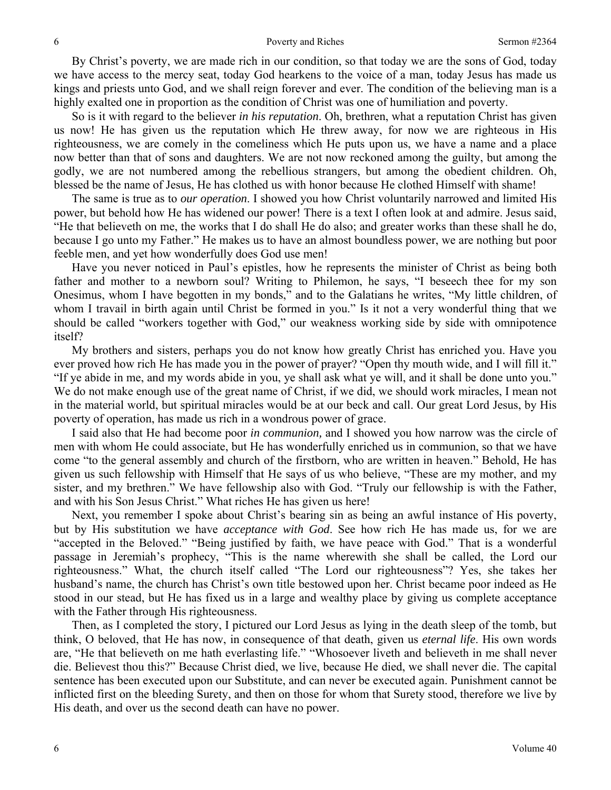By Christ's poverty, we are made rich in our condition, so that today we are the sons of God, today we have access to the mercy seat, today God hearkens to the voice of a man, today Jesus has made us kings and priests unto God, and we shall reign forever and ever. The condition of the believing man is a highly exalted one in proportion as the condition of Christ was one of humiliation and poverty.

So is it with regard to the believer *in his reputation*. Oh, brethren, what a reputation Christ has given us now! He has given us the reputation which He threw away, for now we are righteous in His righteousness, we are comely in the comeliness which He puts upon us, we have a name and a place now better than that of sons and daughters. We are not now reckoned among the guilty, but among the godly, we are not numbered among the rebellious strangers, but among the obedient children. Oh, blessed be the name of Jesus, He has clothed us with honor because He clothed Himself with shame!

The same is true as to *our operation*. I showed you how Christ voluntarily narrowed and limited His power, but behold how He has widened our power! There is a text I often look at and admire. Jesus said, "He that believeth on me, the works that I do shall He do also; and greater works than these shall he do, because I go unto my Father." He makes us to have an almost boundless power, we are nothing but poor feeble men, and yet how wonderfully does God use men!

Have you never noticed in Paul's epistles, how he represents the minister of Christ as being both father and mother to a newborn soul? Writing to Philemon, he says, "I beseech thee for my son Onesimus, whom I have begotten in my bonds," and to the Galatians he writes, "My little children, of whom I travail in birth again until Christ be formed in you." Is it not a very wonderful thing that we should be called "workers together with God," our weakness working side by side with omnipotence itself?

My brothers and sisters, perhaps you do not know how greatly Christ has enriched you. Have you ever proved how rich He has made you in the power of prayer? "Open thy mouth wide, and I will fill it." "If ye abide in me, and my words abide in you, ye shall ask what ye will, and it shall be done unto you." We do not make enough use of the great name of Christ, if we did, we should work miracles, I mean not in the material world, but spiritual miracles would be at our beck and call. Our great Lord Jesus, by His poverty of operation, has made us rich in a wondrous power of grace.

I said also that He had become poor *in communion,* and I showed you how narrow was the circle of men with whom He could associate, but He has wonderfully enriched us in communion, so that we have come "to the general assembly and church of the firstborn, who are written in heaven." Behold, He has given us such fellowship with Himself that He says of us who believe, "These are my mother, and my sister, and my brethren." We have fellowship also with God. "Truly our fellowship is with the Father, and with his Son Jesus Christ." What riches He has given us here!

Next, you remember I spoke about Christ's bearing sin as being an awful instance of His poverty, but by His substitution we have *acceptance with God*. See how rich He has made us, for we are "accepted in the Beloved." "Being justified by faith, we have peace with God." That is a wonderful passage in Jeremiah's prophecy, "This is the name wherewith she shall be called, the Lord our righteousness." What, the church itself called "The Lord our righteousness"? Yes, she takes her husband's name, the church has Christ's own title bestowed upon her. Christ became poor indeed as He stood in our stead, but He has fixed us in a large and wealthy place by giving us complete acceptance with the Father through His righteousness.

Then, as I completed the story, I pictured our Lord Jesus as lying in the death sleep of the tomb, but think, O beloved, that He has now, in consequence of that death, given us *eternal life*. His own words are, "He that believeth on me hath everlasting life." "Whosoever liveth and believeth in me shall never die. Believest thou this?" Because Christ died, we live, because He died, we shall never die. The capital sentence has been executed upon our Substitute, and can never be executed again. Punishment cannot be inflicted first on the bleeding Surety, and then on those for whom that Surety stood, therefore we live by His death, and over us the second death can have no power.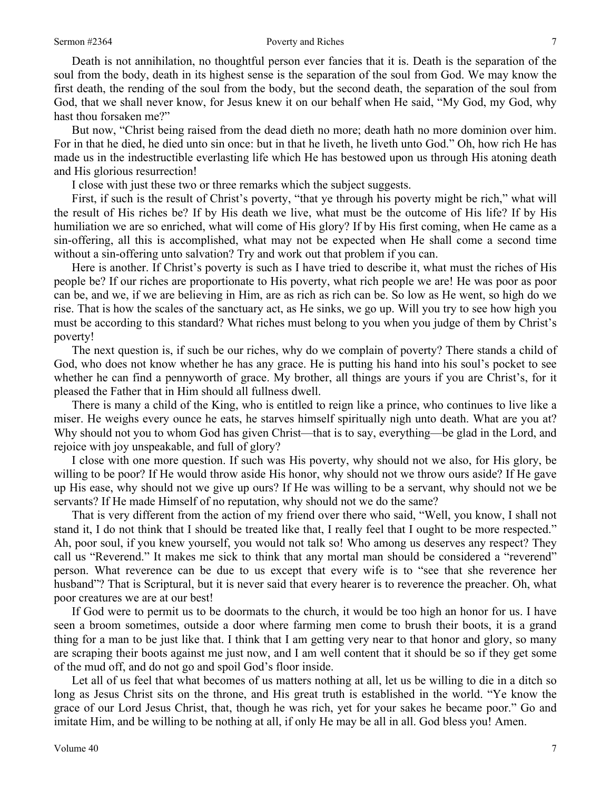Death is not annihilation, no thoughtful person ever fancies that it is. Death is the separation of the soul from the body, death in its highest sense is the separation of the soul from God. We may know the first death, the rending of the soul from the body, but the second death, the separation of the soul from God, that we shall never know, for Jesus knew it on our behalf when He said, "My God, my God, why hast thou forsaken me?"

But now, "Christ being raised from the dead dieth no more; death hath no more dominion over him. For in that he died, he died unto sin once: but in that he liveth, he liveth unto God." Oh, how rich He has made us in the indestructible everlasting life which He has bestowed upon us through His atoning death and His glorious resurrection!

I close with just these two or three remarks which the subject suggests.

First, if such is the result of Christ's poverty, "that ye through his poverty might be rich," what will the result of His riches be? If by His death we live, what must be the outcome of His life? If by His humiliation we are so enriched, what will come of His glory? If by His first coming, when He came as a sin-offering, all this is accomplished, what may not be expected when He shall come a second time without a sin-offering unto salvation? Try and work out that problem if you can.

Here is another. If Christ's poverty is such as I have tried to describe it, what must the riches of His people be? If our riches are proportionate to His poverty, what rich people we are! He was poor as poor can be, and we, if we are believing in Him, are as rich as rich can be. So low as He went, so high do we rise. That is how the scales of the sanctuary act, as He sinks, we go up. Will you try to see how high you must be according to this standard? What riches must belong to you when you judge of them by Christ's poverty!

The next question is, if such be our riches, why do we complain of poverty? There stands a child of God, who does not know whether he has any grace. He is putting his hand into his soul's pocket to see whether he can find a pennyworth of grace. My brother, all things are yours if you are Christ's, for it pleased the Father that in Him should all fullness dwell.

There is many a child of the King, who is entitled to reign like a prince, who continues to live like a miser. He weighs every ounce he eats, he starves himself spiritually nigh unto death. What are you at? Why should not you to whom God has given Christ—that is to say, everything—be glad in the Lord, and rejoice with joy unspeakable, and full of glory?

I close with one more question. If such was His poverty, why should not we also, for His glory, be willing to be poor? If He would throw aside His honor, why should not we throw ours aside? If He gave up His ease, why should not we give up ours? If He was willing to be a servant, why should not we be servants? If He made Himself of no reputation, why should not we do the same?

That is very different from the action of my friend over there who said, "Well, you know, I shall not stand it, I do not think that I should be treated like that, I really feel that I ought to be more respected." Ah, poor soul, if you knew yourself, you would not talk so! Who among us deserves any respect? They call us "Reverend." It makes me sick to think that any mortal man should be considered a "reverend" person. What reverence can be due to us except that every wife is to "see that she reverence her husband"? That is Scriptural, but it is never said that every hearer is to reverence the preacher. Oh, what poor creatures we are at our best!

If God were to permit us to be doormats to the church, it would be too high an honor for us. I have seen a broom sometimes, outside a door where farming men come to brush their boots, it is a grand thing for a man to be just like that. I think that I am getting very near to that honor and glory, so many are scraping their boots against me just now, and I am well content that it should be so if they get some of the mud off, and do not go and spoil God's floor inside.

Let all of us feel that what becomes of us matters nothing at all, let us be willing to die in a ditch so long as Jesus Christ sits on the throne, and His great truth is established in the world. "Ye know the grace of our Lord Jesus Christ, that, though he was rich, yet for your sakes he became poor." Go and imitate Him, and be willing to be nothing at all, if only He may be all in all. God bless you! Amen.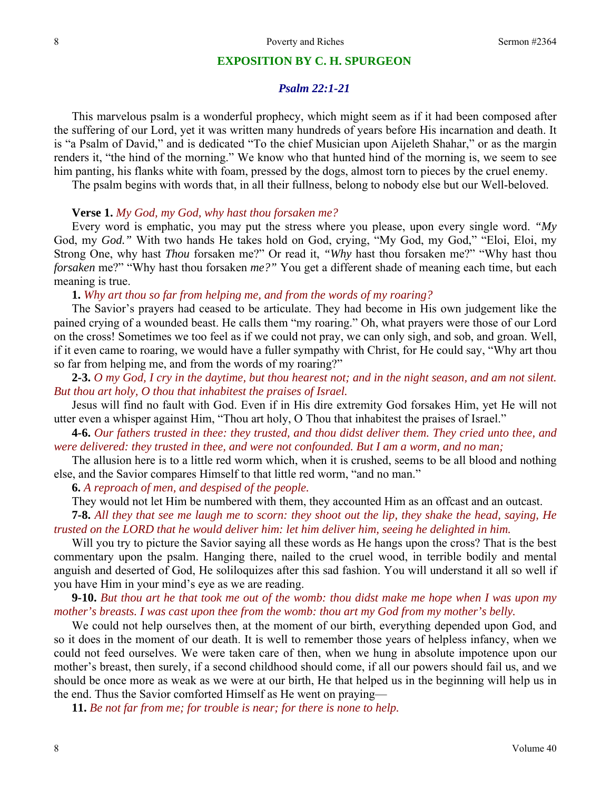#### **EXPOSITION BY C. H. SPURGEON**

#### *Psalm 22:1-21*

This marvelous psalm is a wonderful prophecy, which might seem as if it had been composed after the suffering of our Lord, yet it was written many hundreds of years before His incarnation and death. It is "a Psalm of David," and is dedicated "To the chief Musician upon Aijeleth Shahar," or as the margin renders it, "the hind of the morning." We know who that hunted hind of the morning is, we seem to see him panting, his flanks white with foam, pressed by the dogs, almost torn to pieces by the cruel enemy.

The psalm begins with words that, in all their fullness, belong to nobody else but our Well-beloved.

#### **Verse 1.** *My God, my God, why hast thou forsaken me?*

Every word is emphatic, you may put the stress where you please, upon every single word. *"My* God, my *God."* With two hands He takes hold on God, crying, "My God, my God," "Eloi, Eloi, my Strong One, why hast *Thou* forsaken me?" Or read it, *"Why* hast thou forsaken me?" "Why hast thou *forsaken* me?" "Why hast thou forsaken *me?"* You get a different shade of meaning each time, but each meaning is true.

**1.** *Why art thou so far from helping me, and from the words of my roaring?* 

The Savior's prayers had ceased to be articulate. They had become in His own judgement like the pained crying of a wounded beast. He calls them "my roaring." Oh, what prayers were those of our Lord on the cross! Sometimes we too feel as if we could not pray, we can only sigh, and sob, and groan. Well, if it even came to roaring, we would have a fuller sympathy with Christ, for He could say, "Why art thou so far from helping me, and from the words of my roaring?"

**2-3.** *O my God, I cry in the daytime, but thou hearest not; and in the night season, and am not silent. But thou art holy, O thou that inhabitest the praises of Israel.* 

Jesus will find no fault with God. Even if in His dire extremity God forsakes Him, yet He will not utter even a whisper against Him, "Thou art holy, O Thou that inhabitest the praises of Israel."

**4-6.** *Our fathers trusted in thee: they trusted, and thou didst deliver them. They cried unto thee, and were delivered: they trusted in thee, and were not confounded. But I am a worm, and no man;* 

The allusion here is to a little red worm which, when it is crushed, seems to be all blood and nothing else, and the Savior compares Himself to that little red worm, "and no man."

**6.** *A reproach of men, and despised of the people.* 

They would not let Him be numbered with them, they accounted Him as an offcast and an outcast.

**7-8.** *All they that see me laugh me to scorn: they shoot out the lip, they shake the head, saying, He trusted on the LORD that he would deliver him: let him deliver him, seeing he delighted in him.* 

Will you try to picture the Savior saying all these words as He hangs upon the cross? That is the best commentary upon the psalm. Hanging there, nailed to the cruel wood, in terrible bodily and mental anguish and deserted of God, He soliloquizes after this sad fashion. You will understand it all so well if you have Him in your mind's eye as we are reading.

**9-10.** *But thou art he that took me out of the womb: thou didst make me hope when I was upon my mother's breasts. I was cast upon thee from the womb: thou art my God from my mother's belly.* 

We could not help ourselves then, at the moment of our birth, everything depended upon God, and so it does in the moment of our death. It is well to remember those years of helpless infancy, when we could not feed ourselves. We were taken care of then, when we hung in absolute impotence upon our mother's breast, then surely, if a second childhood should come, if all our powers should fail us, and we should be once more as weak as we were at our birth, He that helped us in the beginning will help us in the end. Thus the Savior comforted Himself as He went on praying—

**11.** *Be not far from me; for trouble is near; for there is none to help.*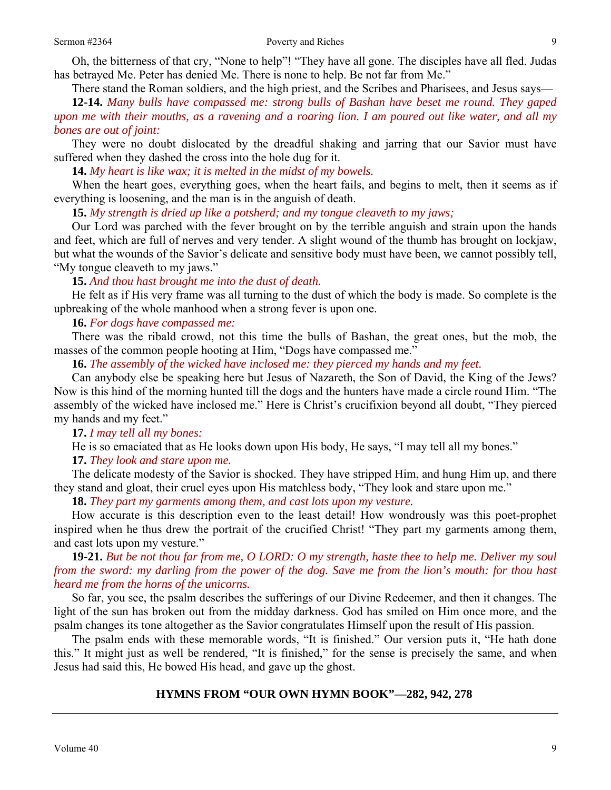Oh, the bitterness of that cry, "None to help"! "They have all gone. The disciples have all fled. Judas has betrayed Me. Peter has denied Me. There is none to help. Be not far from Me."

There stand the Roman soldiers, and the high priest, and the Scribes and Pharisees, and Jesus says—

**12-14.** *Many bulls have compassed me: strong bulls of Bashan have beset me round. They gaped upon me with their mouths, as a ravening and a roaring lion. I am poured out like water, and all my bones are out of joint:* 

They were no doubt dislocated by the dreadful shaking and jarring that our Savior must have suffered when they dashed the cross into the hole dug for it.

**14.** *My heart is like wax; it is melted in the midst of my bowels.* 

When the heart goes, everything goes, when the heart fails, and begins to melt, then it seems as if everything is loosening, and the man is in the anguish of death.

**15.** *My strength is dried up like a potsherd; and my tongue cleaveth to my jaws;* 

Our Lord was parched with the fever brought on by the terrible anguish and strain upon the hands and feet, which are full of nerves and very tender. A slight wound of the thumb has brought on lockjaw, but what the wounds of the Savior's delicate and sensitive body must have been, we cannot possibly tell, "My tongue cleaveth to my jaws."

#### **15.** *And thou hast brought me into the dust of death.*

He felt as if His very frame was all turning to the dust of which the body is made. So complete is the upbreaking of the whole manhood when a strong fever is upon one.

## **16.** *For dogs have compassed me:*

There was the ribald crowd, not this time the bulls of Bashan, the great ones, but the mob, the masses of the common people hooting at Him, "Dogs have compassed me."

**16.** *The assembly of the wicked have inclosed me: they pierced my hands and my feet.* 

Can anybody else be speaking here but Jesus of Nazareth, the Son of David, the King of the Jews? Now is this hind of the morning hunted till the dogs and the hunters have made a circle round Him. "The assembly of the wicked have inclosed me." Here is Christ's crucifixion beyond all doubt, "They pierced my hands and my feet."

#### **17.** *I may tell all my bones:*

He is so emaciated that as He looks down upon His body, He says, "I may tell all my bones."

#### **17.** *They look and stare upon me.*

The delicate modesty of the Savior is shocked. They have stripped Him, and hung Him up, and there they stand and gloat, their cruel eyes upon His matchless body, "They look and stare upon me."

**18.** *They part my garments among them, and cast lots upon my vesture.* 

How accurate is this description even to the least detail! How wondrously was this poet-prophet inspired when he thus drew the portrait of the crucified Christ! "They part my garments among them, and cast lots upon my vesture."

**19-21.** *But be not thou far from me, O LORD: O my strength, haste thee to help me. Deliver my soul from the sword: my darling from the power of the dog. Save me from the lion's mouth: for thou hast heard me from the horns of the unicorns.* 

So far, you see, the psalm describes the sufferings of our Divine Redeemer, and then it changes. The light of the sun has broken out from the midday darkness. God has smiled on Him once more, and the psalm changes its tone altogether as the Savior congratulates Himself upon the result of His passion.

The psalm ends with these memorable words, "It is finished." Our version puts it, "He hath done this." It might just as well be rendered, "It is finished," for the sense is precisely the same, and when Jesus had said this, He bowed His head, and gave up the ghost.

## **HYMNS FROM "OUR OWN HYMN BOOK"—282, 942, 278**